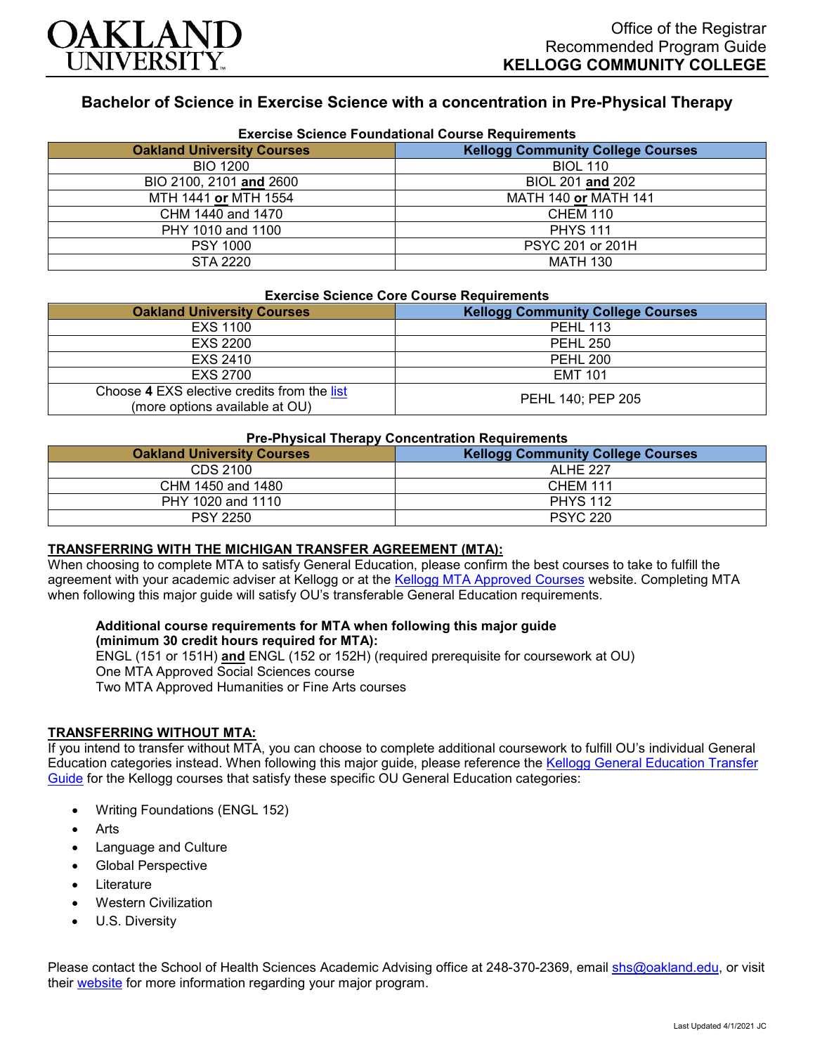

# **Bachelor of Science in Exercise Science with a concentration in Pre-Physical Therapy**

| <b>Exercise Science Foundational Course Requirements</b> |                                          |  |
|----------------------------------------------------------|------------------------------------------|--|
| <b>Oakland University Courses</b>                        | <b>Kellogg Community College Courses</b> |  |
| <b>BIO 1200</b>                                          | <b>BIOL 110</b>                          |  |
| BIO 2100, 2101 and 2600                                  | BIOL 201 and 202                         |  |
| MTH 1441 or MTH 1554                                     | <b>MATH 140 or MATH 141</b>              |  |
| CHM 1440 and 1470                                        | <b>CHEM 110</b>                          |  |
| PHY 1010 and 1100                                        | <b>PHYS 111</b>                          |  |
| <b>PSY 1000</b>                                          | PSYC 201 or 201H                         |  |
| STA 2220                                                 | <b>MATH 130</b>                          |  |

#### **Exercise Science Core Course Requirements**

| <b>Oakland University Courses</b>                                             | <b>Kellogg Community College Courses</b> |
|-------------------------------------------------------------------------------|------------------------------------------|
| <b>EXS 1100</b>                                                               | <b>PEHL 113</b>                          |
| EXS 2200                                                                      | <b>PEHL 250</b>                          |
| EXS 2410                                                                      | <b>PEHL 200</b>                          |
| EXS 2700                                                                      | <b>EMT 101</b>                           |
| Choose 4 EXS elective credits from the list<br>(more options available at OU) | PEHL 140; PEP 205                        |

## **Pre-Physical Therapy Concentration Requirements**

| .                                 |                                          |
|-----------------------------------|------------------------------------------|
| <b>Oakland University Courses</b> | <b>Kellogg Community College Courses</b> |
| CDS 2100                          | <b>ALHE 227</b>                          |
| CHM 1450 and 1480                 | <b>CHEM 111</b>                          |
| PHY 1020 and 1110                 | <b>PHYS 112</b>                          |
| <b>PSY 2250</b>                   | <b>PSYC 220</b>                          |

### **TRANSFERRING WITH THE MICHIGAN TRANSFER AGREEMENT (MTA):**

When choosing to complete MTA to satisfy General Education, please confirm the best courses to take to fulfill the agreement with your academic adviser at Kellogg or at the [Kellogg MTA Approved Courses](http://catalog.kellogg.edu/content.php?catoid=16&navoid=705#michigan-transfer-agreement) website. Completing MTA when following this major guide will satisfy OU's transferable General Education requirements.

#### **Additional course requirements for MTA when following this major guide (minimum 30 credit hours required for MTA):**

ENGL (151 or 151H) **and** ENGL (152 or 152H) (required prerequisite for coursework at OU) One MTA Approved Social Sciences course Two MTA Approved Humanities or Fine Arts courses

### **TRANSFERRING WITHOUT MTA:**

If you intend to transfer without MTA, you can choose to complete additional coursework to fulfill OU's individual General Education categories instead. When following this major guide, please reference the [Kellogg General Education Transfer](https://www.oakland.edu/Assets/Oakland/program-guides/kellogg-community-college/university-general-education-requirements/Kellogg%20Gen%20Ed.pdf)  [Guide](https://www.oakland.edu/Assets/Oakland/program-guides/kellogg-community-college/university-general-education-requirements/Kellogg%20Gen%20Ed.pdf) for the Kellogg courses that satisfy these specific OU General Education categories:

- Writing Foundations (ENGL 152)
- **Arts**
- Language and Culture
- Global Perspective
- **Literature**
- Western Civilization
- U.S. Diversity

Please contact the School of Health Sciences Academic Advising office at 248-370-2369, email [shs@oakland.edu,](mailto:shs@oakland.edu) or visit their [website](http://www.oakland.edu/shs/advising) for more information regarding your major program.